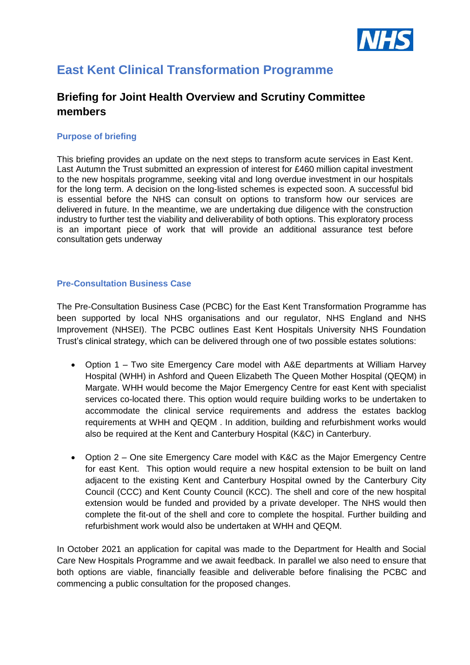

# **East Kent Clinical Transformation Programme**

# **Briefing for Joint Health Overview and Scrutiny Committee members**

## **Purpose of briefing**

This briefing provides an update on the next steps to transform acute services in East Kent. Last Autumn the Trust submitted an expression of interest for £460 million capital investment to the new hospitals programme, seeking vital and long overdue investment in our hospitals for the long term. A decision on the long-listed schemes is expected soon. A successful bid is essential before the NHS can consult on options to transform how our services are delivered in future. In the meantime, we are undertaking due diligence with the construction industry to further test the viability and deliverability of both options. This exploratory process is an important piece of work that will provide an additional assurance test before consultation gets underway

### **Pre-Consultation Business Case**

The Pre-Consultation Business Case (PCBC) for the East Kent Transformation Programme has been supported by local NHS organisations and our regulator, NHS England and NHS Improvement (NHSEI). The PCBC outlines East Kent Hospitals University NHS Foundation Trust's clinical strategy, which can be delivered through one of two possible estates solutions:

- Option 1 Two site Emergency Care model with A&E departments at William Harvey Hospital (WHH) in Ashford and Queen Elizabeth The Queen Mother Hospital (QEQM) in Margate. WHH would become the Major Emergency Centre for east Kent with specialist services co-located there. This option would require building works to be undertaken to accommodate the clinical service requirements and address the estates backlog requirements at WHH and QEQM . In addition, building and refurbishment works would also be required at the Kent and Canterbury Hospital (K&C) in Canterbury.
- Option 2 One site Emergency Care model with K&C as the Major Emergency Centre for east Kent. This option would require a new hospital extension to be built on land adjacent to the existing Kent and Canterbury Hospital owned by the Canterbury City Council (CCC) and Kent County Council (KCC). The shell and core of the new hospital extension would be funded and provided by a private developer. The NHS would then complete the fit-out of the shell and core to complete the hospital. Further building and refurbishment work would also be undertaken at WHH and QEQM.

In October 2021 an application for capital was made to the Department for Health and Social Care New Hospitals Programme and we await feedback. In parallel we also need to ensure that both options are viable, financially feasible and deliverable before finalising the PCBC and commencing a public consultation for the proposed changes.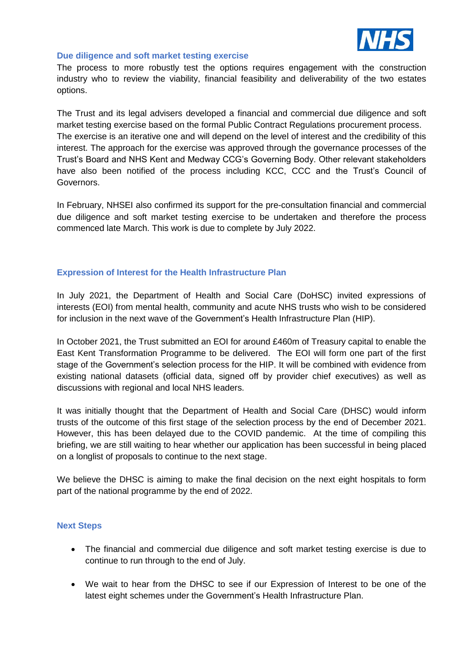

#### **Due diligence and soft market testing exercise**

The process to more robustly test the options requires engagement with the construction industry who to review the viability, financial feasibility and deliverability of the two estates options.

The Trust and its legal advisers developed a financial and commercial due diligence and soft market testing exercise based on the formal Public Contract Regulations procurement process. The exercise is an iterative one and will depend on the level of interest and the credibility of this interest. The approach for the exercise was approved through the governance processes of the Trust's Board and NHS Kent and Medway CCG's Governing Body. Other relevant stakeholders have also been notified of the process including KCC, CCC and the Trust's Council of Governors.

In February, NHSEI also confirmed its support for the pre-consultation financial and commercial due diligence and soft market testing exercise to be undertaken and therefore the process commenced late March. This work is due to complete by July 2022.

### **Expression of Interest for the Health Infrastructure Plan**

In July 2021, the Department of Health and Social Care (DoHSC) invited expressions of interests (EOI) from mental health, community and acute NHS trusts who wish to be considered for inclusion in the next wave of the Government's Health Infrastructure Plan (HIP).

In October 2021, the Trust submitted an EOI for around £460m of Treasury capital to enable the East Kent Transformation Programme to be delivered. The EOI will form one part of the first stage of the Government's selection process for the HIP. It will be combined with evidence from existing national datasets (official data, signed off by provider chief executives) as well as discussions with regional and local NHS leaders.

It was initially thought that the Department of Health and Social Care (DHSC) would inform trusts of the outcome of this first stage of the selection process by the end of December 2021. However, this has been delayed due to the COVID pandemic. At the time of compiling this briefing, we are still waiting to hear whether our application has been successful in being placed on a longlist of proposals to continue to the next stage.

We believe the DHSC is aiming to make the final decision on the next eight hospitals to form part of the national programme by the end of 2022.

#### **Next Steps**

- The financial and commercial due diligence and soft market testing exercise is due to continue to run through to the end of July.
- We wait to hear from the DHSC to see if our Expression of Interest to be one of the latest eight schemes under the Government's Health Infrastructure Plan.